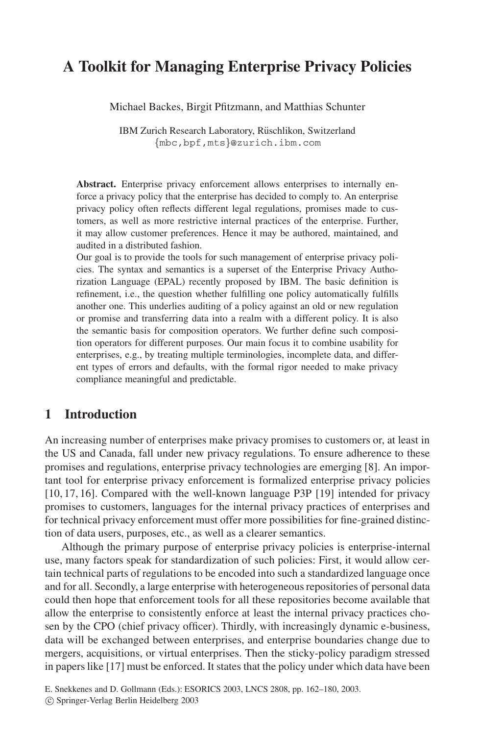# **A Toolkit for Managing Enterprise Privacy Policies**

Michael Backes, Birgit Pfitzmann, and Matthias Schunter

IBM Zurich Research Laboratory, Rüschlikon, Switzerland *{*mbc,bpf,mts*}*@zurich.ibm.com

**Abstract.** Enterprise privacy enforcement allows enterprises to internally enforce a privacy policy that the enterprise has decided to comply to. An enterprise privacy policy often reflects different legal regulations, promises made to customers, as well as more restrictive internal practices of the enterprise. Further, it may allow customer preferences. Hence it may be authored, maintained, and audited in a distributed fashion.

Our goal is to provide the tools for such management of enterprise privacy policies. The syntax and semantics is a superset of the Enterprise Privacy Authorization Language (EPAL) recently proposed by IBM. The basic definition is refinement, i.e., the question whether fulfilling one policy automatically fulfills another one. This underlies auditing of a policy against an old or new regulation or promise and transferring data into a realm with a different policy. It is also the semantic basis for composition operators. We further define such composition operators for different purposes. Our main focus it to combine usability for enterprises, e.g., by treating multiple terminologies, incomplete data, and different types of errors and defaults, with the formal rigor needed to make privacy compliance meaningful and predictable.

## **1 Introduction**

An increasing number of enterprises make privacy promises to customers or, at least in the US and Canada, fall under new privacy regulations. To ensure adherence to these promises and regulations, enterprise privacy technologies are emerging [8]. An important tool for enterprise privacy enforcement is formalized enterprise privacy policies [10, 17, 16]. Compared with the well-known language P3P [19] intended for privacy promises to customers, languages for the internal privacy practices of enterprises and for technical privacy enforcement must offer more possibilities for fine-grained distinction of data users, purposes, etc., as well as a clearer semantics.

Although the primary purpose of enterprise privacy policies is enterprise-internal use, many factors speak for standardization of such policies: First, it would allow certain technical parts of regulations to be encoded into such a standardized language once and for all. Secondly, a large enterprise with heterogeneous repositories of personal data could then hope that enforcement tools for all these repositories become available that allow the enterprise to consistently enforce at least the internal privacy practices chosen by the CPO (chief privacy officer). Thirdly, with increasingly dynamic e-business, data will be exchanged between enterprises, and enterprise boundaries change due to mergers, acquisitions, or virtual enterprises. Then the sticky-policy paradigm stressed in papers like [17] must be enforced. It states that the policy under which data have been

E. Snekkenes and D. Gollmann (Eds.): ESORICS 2003, LNCS 2808, pp. 162–180, 2003.

c Springer-Verlag Berlin Heidelberg 2003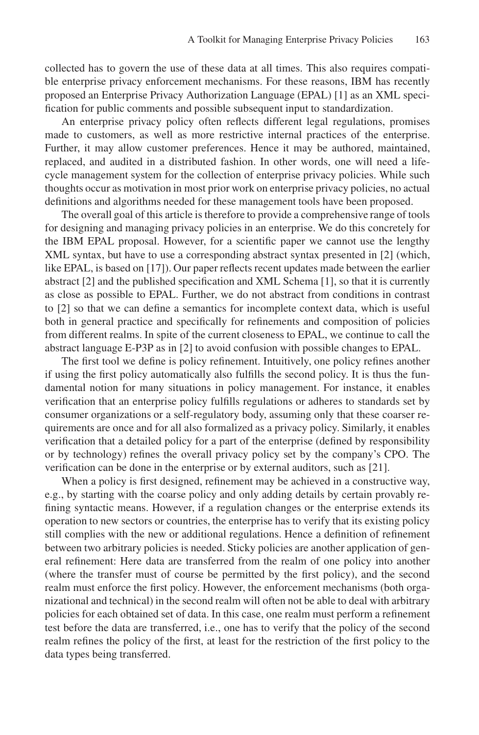collected has to govern the use of these data at all times. This also requires compatible enterprise privacy enforcement mechanisms. For these reasons, IBM has recently proposed an Enterprise Privacy Authorization Language (EPAL) [1] as an XML specification for public comments and possible subsequent input to standardization.

An enterprise privacy policy often reflects different legal regulations, promises made to customers, as well as more restrictive internal practices of the enterprise. Further, it may allow customer preferences. Hence it may be authored, maintained, replaced, and audited in a distributed fashion. In other words, one will need a lifecycle management system for the collection of enterprise privacy policies. While such thoughts occur as motivation in most prior work on enterprise privacy policies, no actual definitions and algorithms needed for these management tools have been proposed.

The overall goal of this article is therefore to provide a comprehensive range of tools for designing and managing privacy policies in an enterprise. We do this concretely for the IBM EPAL proposal. However, for a scientific paper we cannot use the lengthy XML syntax, but have to use a corresponding abstract syntax presented in [2] (which, like EPAL, is based on [17]). Our paper reflects recent updates made between the earlier abstract [2] and the published specification and XML Schema [1], so that it is currently as close as possible to EPAL. Further, we do not abstract from conditions in contrast to [2] so that we can define a semantics for incomplete context data, which is useful both in general practice and specifically for refinements and composition of policies from different realms. In spite of the current closeness to EPAL, we continue to call the abstract language E-P3P as in [2] to avoid confusion with possible changes to EPAL.

The first tool we define is policy refinement. Intuitively, one policy refines another if using the first policy automatically also fulfills the second policy. It is thus the fundamental notion for many situations in policy management. For instance, it enables verification that an enterprise policy fulfills regulations or adheres to standards set by consumer organizations or a self-regulatory body, assuming only that these coarser requirements are once and for all also formalized as a privacy policy. Similarly, it enables verification that a detailed policy for a part of the enterprise (defined by responsibility or by technology) refines the overall privacy policy set by the company's CPO. The verification can be done in the enterprise or by external auditors, such as [21].

When a policy is first designed, refinement may be achieved in a constructive way, e.g., by starting with the coarse policy and only adding details by certain provably refining syntactic means. However, if a regulation changes or the enterprise extends its operation to new sectors or countries, the enterprise has to verify that its existing policy still complies with the new or additional regulations. Hence a definition of refinement between two arbitrary policies is needed. Sticky policies are another application of general refinement: Here data are transferred from the realm of one policy into another (where the transfer must of course be permitted by the first policy), and the second realm must enforce the first policy. However, the enforcement mechanisms (both organizational and technical) in the second realm will often not be able to deal with arbitrary policies for each obtained set of data. In this case, one realm must perform a refinement test before the data are transferred, i.e., one has to verify that the policy of the second realm refines the policy of the first, at least for the restriction of the first policy to the data types being transferred.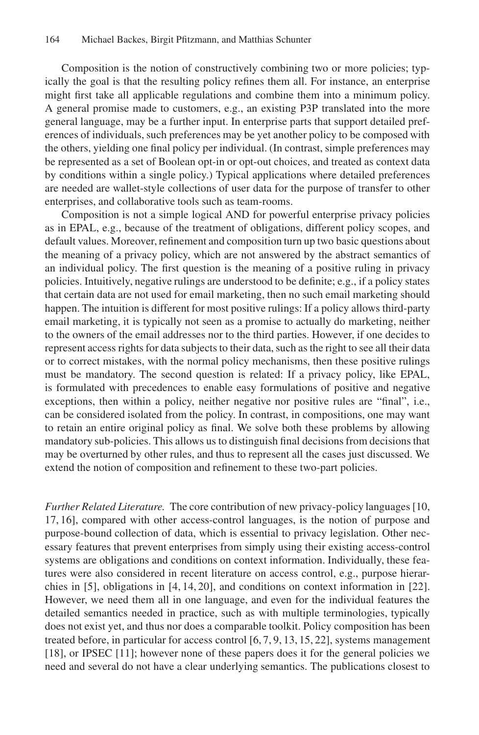Composition is the notion of constructively combining two or more policies; typically the goal is that the resulting policy refines them all. For instance, an enterprise might first take all applicable regulations and combine them into a minimum policy. A general promise made to customers, e.g., an existing P3P translated into the more general language, may be a further input. In enterprise parts that support detailed preferences of individuals, such preferences may be yet another policy to be composed with the others, yielding one final policy per individual. (In contrast, simple preferences may be represented as a set of Boolean opt-in or opt-out choices, and treated as context data by conditions within a single policy.) Typical applications where detailed preferences are needed are wallet-style collections of user data for the purpose of transfer to other enterprises, and collaborative tools such as team-rooms.

Composition is not a simple logical AND for powerful enterprise privacy policies as in EPAL, e.g., because of the treatment of obligations, different policy scopes, and default values. Moreover, refinement and composition turn up two basic questions about the meaning of a privacy policy, which are not answered by the abstract semantics of an individual policy. The first question is the meaning of a positive ruling in privacy policies. Intuitively, negative rulings are understood to be definite; e.g., if a policy states that certain data are not used for email marketing, then no such email marketing should happen. The intuition is different for most positive rulings: If a policy allows third-party email marketing, it is typically not seen as a promise to actually do marketing, neither to the owners of the email addresses nor to the third parties. However, if one decides to represent access rights for data subjects to their data, such as the right to see all their data or to correct mistakes, with the normal policy mechanisms, then these positive rulings must be mandatory. The second question is related: If a privacy policy, like EPAL, is formulated with precedences to enable easy formulations of positive and negative exceptions, then within a policy, neither negative nor positive rules are "final", i.e., can be considered isolated from the policy. In contrast, in compositions, one may want to retain an entire original policy as final. We solve both these problems by allowing mandatory sub-policies. This allows us to distinguish final decisions from decisions that may be overturned by other rules, and thus to represent all the cases just discussed. We extend the notion of composition and refinement to these two-part policies.

*Further Related Literature.* The core contribution of new privacy-policy languages [10, 17, 16], compared with other access-control languages, is the notion of purpose and purpose-bound collection of data, which is essential to privacy legislation. Other necessary features that prevent enterprises from simply using their existing access-control systems are obligations and conditions on context information. Individually, these features were also considered in recent literature on access control, e.g., purpose hierarchies in [5], obligations in [4, 14, 20], and conditions on context information in [22]. However, we need them all in one language, and even for the individual features the detailed semantics needed in practice, such as with multiple terminologies, typically does not exist yet, and thus nor does a comparable toolkit. Policy composition has been treated before, in particular for access control [6, 7, 9, 13, 15, 22], systems management [18], or IPSEC [11]; however none of these papers does it for the general policies we need and several do not have a clear underlying semantics. The publications closest to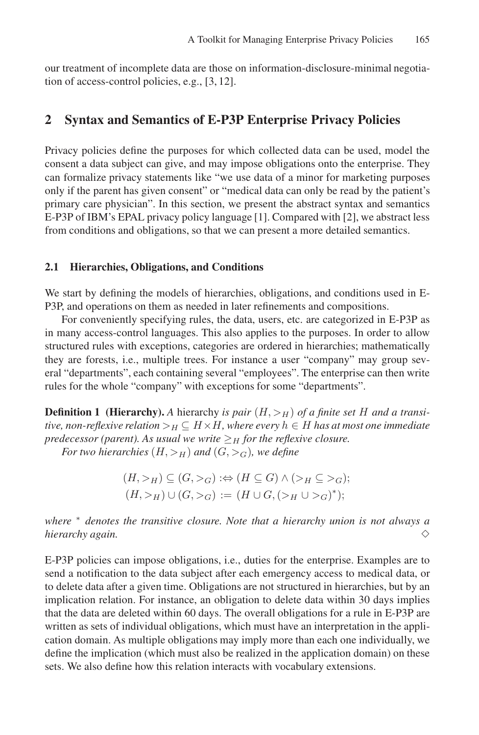our treatment of incomplete data are those on information-disclosure-minimal negotiation of access-control policies, e.g., [3, 12].

# **2 Syntax and Semantics of E-P3P Enterprise Privacy Policies**

Privacy policies define the purposes for which collected data can be used, model the consent a data subject can give, and may impose obligations onto the enterprise. They can formalize privacy statements like "we use data of a minor for marketing purposes only if the parent has given consent" or "medical data can only be read by the patient's primary care physician". In this section, we present the abstract syntax and semantics E-P3P of IBM's EPAL privacy policy language [1]. Compared with [2], we abstract less from conditions and obligations, so that we can present a more detailed semantics.

#### **2.1 Hierarchies, Obligations, and Conditions**

We start by defining the models of hierarchies, obligations, and conditions used in E-P3P, and operations on them as needed in later refinements and compositions.

For conveniently specifying rules, the data, users, etc. are categorized in E-P3P as in many access-control languages. This also applies to the purposes. In order to allow structured rules with exceptions, categories are ordered in hierarchies; mathematically they are forests, i.e., multiple trees. For instance a user "company" may group several "departments", each containing several "employees". The enterprise can then write rules for the whole "company" with exceptions for some "departments".

**Definition 1 (Hierarchy).** A hierarchy is pair  $(H, >_H)$  of a finite set H and a transi*tive, non-reflexive relation* >  $H \subseteq H \times H$ *, where every*  $h \in H$  *has at most one immediate predecessor (parent). As usual we write*  $\geq_H$  *for the reflexive closure.* 

*For two hierarchies*  $(H, >_H)$  *and*  $(G, >_G)$ *, we define* 

$$
(H, >_H) \subseteq (G, >_G) : \Leftrightarrow (H \subseteq G) \land (>_H \subseteq >_G);
$$
  

$$
(H, >_H) \cup (G, >_G) := (H \cup G, (>_H \cup >_G)^*);
$$

*where* <sup>∗</sup> *denotes the transitive closure. Note that a hierarchy union is not always a hierarchy again.*  $\diamondsuit$ 

E-P3P policies can impose obligations, i.e., duties for the enterprise. Examples are to send a notification to the data subject after each emergency access to medical data, or to delete data after a given time. Obligations are not structured in hierarchies, but by an implication relation. For instance, an obligation to delete data within 30 days implies that the data are deleted within 60 days. The overall obligations for a rule in E-P3P are written as sets of individual obligations, which must have an interpretation in the application domain. As multiple obligations may imply more than each one individually, we define the implication (which must also be realized in the application domain) on these sets. We also define how this relation interacts with vocabulary extensions.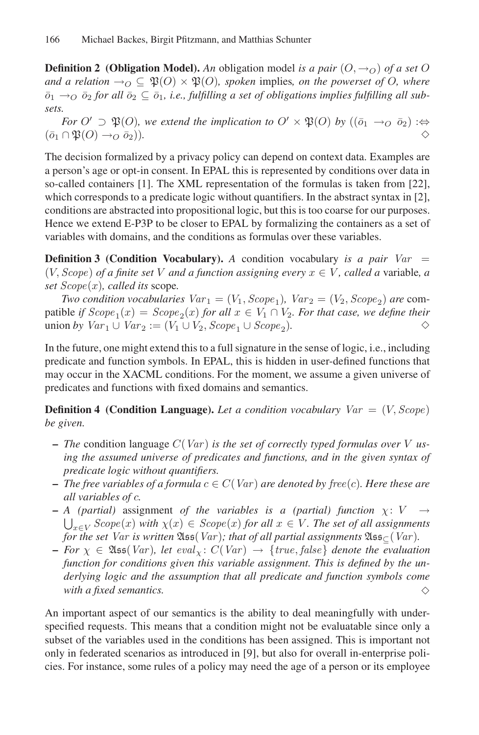**Definition 2 (Obligation Model).** An obligation model *is a pair*  $(0, \rightarrow o)$  *of a set* O *and a relation*  $\rightarrow_O \subseteq \mathfrak{P}(O) \times \mathfrak{P}(O)$ *, spoken implies, on the powerset of O, where*  $\bar{o}_1 \rightarrow_O \bar{o}_2$  for all  $\bar{o}_2 \subseteq \bar{o}_1$ , *i.e., fulfilling a set of obligations implies fulfilling all subsets.*

*For*  $O' \supset \mathfrak{P}(O)$ *, we extend the implication to*  $O' \times \mathfrak{P}(O)$  *by*  $((\bar{o}_1 \rightarrow_O \bar{o}_2) : \Leftrightarrow$  $(\bar{o}_1 \cap \mathfrak{P}(O) \rightarrow_O \bar{o}_2)).$ 

The decision formalized by a privacy policy can depend on context data. Examples are a person's age or opt-in consent. In EPAL this is represented by conditions over data in so-called containers [1]. The XML representation of the formulas is taken from [22], which corresponds to a predicate logic without quantifiers. In the abstract syntax in [2], conditions are abstracted into propositional logic, but this is too coarse for our purposes. Hence we extend E-P3P to be closer to EPAL by formalizing the containers as a set of variables with domains, and the conditions as formulas over these variables.

**Definition 3 (Condition Vocabulary).** *A* condition vocabulary *is a pair Var* =  $(V, \text{Scope})$  *of a finite set* V *and a function assigning every*  $x \in V$ *, called a variable, a set Scope*(x)*, called its* scope*.*

*Two condition vocabularies*  $Var_1 = (V_1, \text{Scope}_1)$ ,  $Var_2 = (V_2, \text{Scope}_2)$  *are* compatible *if*  $Scope_1(x) = Score_2(x)$  *for all*  $x \in V_1 \cap V_2$ *. For that case, we define their* union *by*  $Var_1$  ∪  $Var_2$  :=  $(V_1$  ∪  $V_2$ ,  $Scope_1$  ∪  $Scope_2$ ).

In the future, one might extend this to a full signature in the sense of logic, i.e., including predicate and function symbols. In EPAL, this is hidden in user-defined functions that may occur in the XACML conditions. For the moment, we assume a given universe of predicates and functions with fixed domains and semantics.

**Definition 4 (Condition Language).** *Let a condition vocabulary Var* = (V, *Scope*) *be given.*

- **–** *The* condition language C(*Var* ) *is the set of correctly typed formulas over* V *using the assumed universe of predicates and functions, and in the given syntax of predicate logic without quantifiers.*
- **−** *The free variables of a formula*  $c \in C(Var)$  *are denoted by free*(*c*)*. Here these are all variables of* c*.*
- **–** *A* (*partial*) assignment *of the variables is a (partial) function*  $\chi: V \rightarrow$  $\bigcup_{x \in V} \text{Scope}(x)$  with  $\chi(x) \in \text{Scope}(x)$  for all  $x \in V$ *. The set of all assignments for the set Var is written*  $\mathfrak{Ass}(Var)$ *; that of all partial assignments*  $\mathfrak{Ass}_{\mathbb{C}}(Var)$ *.*
- $\mathbf{F} = \text{For } \chi \in \mathfrak{Ass}(Var)$ , let  $eval_{\chi} : C(Var) \rightarrow \{true, false\}$  denote the evaluation *function for conditions given this variable assignment. This is defined by the underlying logic and the assumption that all predicate and function symbols come* with a fixed semantics.  $\Diamond$

An important aspect of our semantics is the ability to deal meaningfully with underspecified requests. This means that a condition might not be evaluatable since only a subset of the variables used in the conditions has been assigned. This is important not only in federated scenarios as introduced in [9], but also for overall in-enterprise policies. For instance, some rules of a policy may need the age of a person or its employee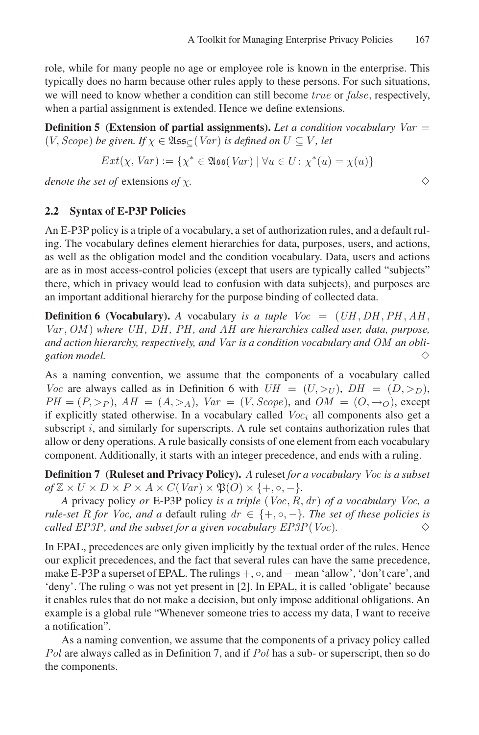role, while for many people no age or employee role is known in the enterprise. This typically does no harm because other rules apply to these persons. For such situations, we will need to know whether a condition can still become *true* or *false*, respectively, when a partial assignment is extended. Hence we define extensions.

**Definition 5 (Extension of partial assignments).** *Let a condition vocabulary Var* =  $(V, \text{Scope})$  *be given.* If  $\chi \in \mathfrak{Ass}_{\mathbb{C}}(Var)$  *is defined on*  $U \subseteq V$ *, let* 

$$
Ext(\chi, Var) := \{ \chi^* \in \mathfrak{Ass}(Var) \mid \forall u \in U : \chi^*(u) = \chi(u) \}
$$

*denote the set of* extensions *of*  $\chi$ .

#### **2.2 Syntax of E-P3P Policies**

An E-P3P policy is a triple of a vocabulary, a set of authorization rules, and a default ruling. The vocabulary defines element hierarchies for data, purposes, users, and actions, as well as the obligation model and the condition vocabulary. Data, users and actions are as in most access-control policies (except that users are typically called "subjects" there, which in privacy would lead to confusion with data subjects), and purposes are an important additional hierarchy for the purpose binding of collected data.

**Definition 6 (Vocabulary).** A vocabulary *is a tuple*  $Voc = (UH, DH, PH, AH,$ *Var* , *OM* ) *where UH , DH , PH , and AH are hierarchies called user, data, purpose, and action hierarchy, respectively, and Var is a condition vocabulary and OM an obligation model.*  $\Diamond$ 

As a naming convention, we assume that the components of a vocabulary called *Voc* are always called as in Definition 6 with  $UH = (U, >_U)$ ,  $DH = (D, >_D)$ ,  $PH = (P, >_P)$ ,  $AH = (A, >_A)$ ,  $Var = (V, Scope)$ , and  $OM = (O, \rightarrow_O)$ , except if explicitly stated otherwise. In a vocabulary called *Voc<sub>i</sub>* all components also get a subscript  $i$ , and similarly for superscripts. A rule set contains authorization rules that allow or deny operations. A rule basically consists of one element from each vocabulary component. Additionally, it starts with an integer precedence, and ends with a ruling.

**Definition 7 (Ruleset and Privacy Policy).** *A* ruleset *for a vocabulary Voc is a subset*  $of \mathbb{Z} \times U \times D \times P \times A \times C(Var) \times \mathfrak{P}(O) \times \{+, \circ, -\}.$ 

*A* privacy policy *or* E-P3P policy *is a triple* (*Voc*, R, *dr* ) *of a vocabulary Voc, a rule-set* R *for Voc, and a* default ruling  $dr \in \{+, \circ, -\}$ *. The set of these policies is called EP3P, and the subset for a given vocabulary EP3P*(*Voc*).  $\diamondsuit$ 

In EPAL, precedences are only given implicitly by the textual order of the rules. Hence our explicit precedences, and the fact that several rules can have the same precedence, make E-P3P a superset of EPAL. The rulings  $+$ ,  $\circ$ , and  $-$  mean 'allow', 'don't care', and 'deny'. The ruling ◦ was not yet present in [2]. In EPAL, it is called 'obligate' because it enables rules that do not make a decision, but only impose additional obligations. An example is a global rule "Whenever someone tries to access my data, I want to receive a notification".

As a naming convention, we assume that the components of a privacy policy called *Pol* are always called as in Definition 7, and if *Pol* has a sub- or superscript, then so do the components.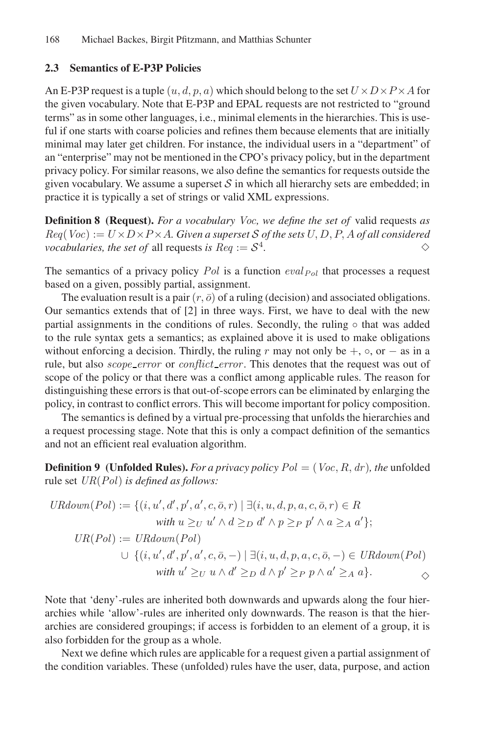#### **2.3 Semantics of E-P3P Policies**

An E-P3P request is a tuple  $(u, d, p, a)$  which should belong to the set  $U \times D \times P \times A$  for the given vocabulary. Note that E-P3P and EPAL requests are not restricted to "ground terms" as in some other languages, i.e., minimal elements in the hierarchies. This is useful if one starts with coarse policies and refines them because elements that are initially minimal may later get children. For instance, the individual users in a "department" of an "enterprise" may not be mentioned in the CPO's privacy policy, but in the department privacy policy. For similar reasons, we also define the semantics for requests outside the given vocabulary. We assume a superset  $S$  in which all hierarchy sets are embedded; in practice it is typically a set of strings or valid XML expressions.

**Definition 8 (Request).** *For a vocabulary Voc, we define the set of* valid requests *as*  $Req(Voc) := U \times D \times P \times A$ *. Given a superset* S *of the sets*  $U, D, P, A$  *of all considered vocabularies, the set of* all requests *is*  $Req := S^4$ .

The semantics of a privacy policy *Pol* is a function *eval Pol* that processes a request based on a given, possibly partial, assignment.

The evaluation result is a pair  $(r, \bar{\sigma})$  of a ruling (decision) and associated obligations. Our semantics extends that of [2] in three ways. First, we have to deal with the new partial assignments in the conditions of rules. Secondly, the ruling  $\circ$  that was added to the rule syntax gets a semantics; as explained above it is used to make obligations without enforcing a decision. Thirdly, the ruling r may not only be  $+$ ,  $\circ$ , or  $-$  as in a rule, but also *scope error* or *conflict error* . This denotes that the request was out of scope of the policy or that there was a conflict among applicable rules. The reason for distinguishing these errors is that out-of-scope errors can be eliminated by enlarging the policy, in contrast to conflict errors. This will become important for policy composition.

The semantics is defined by a virtual pre-processing that unfolds the hierarchies and a request processing stage. Note that this is only a compact definition of the semantics and not an efficient real evaluation algorithm.

**Definition 9 (Unfolded Rules).** *For a privacy policy Pol* = (*Voc*, R, *dr* )*, the* unfolded rule set *UR*(*Pol*) *is defined as follows:*

$$
URdown(Pol) := \{ (i, u', d', p', a', c, \overline{o}, r) \mid \exists (i, u, d, p, a, c, \overline{o}, r) \in R
$$
  
\nwith  $u \geq_U u' \land d \geq_D d' \land p \geq_P p' \land a \geq_A a' \};$   
\n
$$
UR(Pol) := URdown(Pol)
$$
  
\n
$$
\cup \{ (i, u', d', p', a', c, \overline{o}, -) \mid \exists (i, u, d, p, a, c, \overline{o}, -) \in URdown(Pol)
$$
  
\nwith  $u' \geq_U u \land d' \geq_D d \land p' \geq_P p \land a' \geq_A a \}.$ 

Note that 'deny'-rules are inherited both downwards and upwards along the four hierarchies while 'allow'-rules are inherited only downwards. The reason is that the hierarchies are considered groupings; if access is forbidden to an element of a group, it is also forbidden for the group as a whole.

Next we define which rules are applicable for a request given a partial assignment of the condition variables. These (unfolded) rules have the user, data, purpose, and action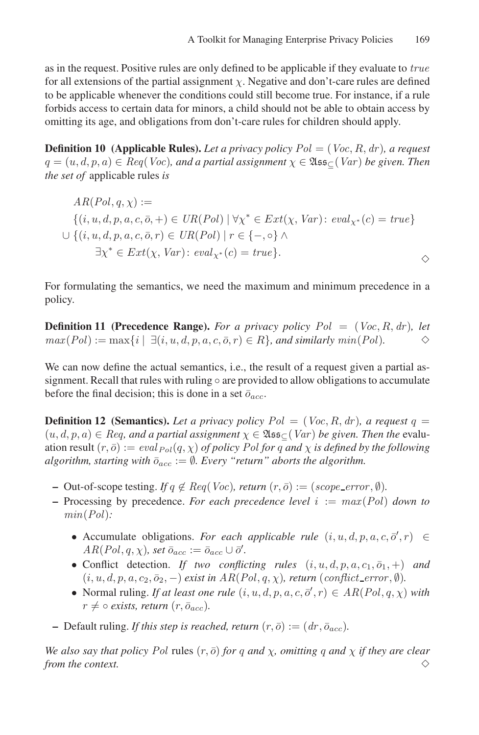as in the request. Positive rules are only defined to be applicable if they evaluate to *true* for all extensions of the partial assignment  $\chi$ . Negative and don't-care rules are defined to be applicable whenever the conditions could still become true. For instance, if a rule forbids access to certain data for minors, a child should not be able to obtain access by omitting its age, and obligations from don't-care rules for children should apply.

**Definition 10 (Applicable Rules).** *Let a privacy policy Pol* = (*Voc*, R, *dr* )*, a request*  $q = (u, d, p, a) \in \text{Reg}(Voc)$ , and a partial assignment  $\chi \in \mathfrak{Ass}_{\mathbb{C}}(Var)$  be given. Then *the set of* applicable rules *is*

$$
AR(Pol, q, \chi) :=
$$
  
\n
$$
\{(i, u, d, p, a, c, \overline{o}, +) \in UR(Pol) \mid \forall \chi^* \in Ext(\chi, Var) : eval_{\chi^*}(c) = true \}
$$
  
\n
$$
\cup \{(i, u, d, p, a, c, \overline{o}, r) \in UR(Pol) \mid r \in \{-, \circ\} \land
$$
  
\n
$$
\exists \chi^* \in Ext(\chi, Var) : eval_{\chi^*}(c) = true \}.
$$

For formulating the semantics, we need the maximum and minimum precedence in a policy.

**Definition 11 (Precedence Range).** *For a privacy policy*  $Pol = (Voc, R, dr)$ *, let*  $max(Pol) := max\{i \mid \exists (i, u, d, p, a, c, \overline{o}, r) \in R\}$ , and similarly  $min(Pol)$ .  $\diamond$ 

We can now define the actual semantics, i.e., the result of a request given a partial assignment. Recall that rules with ruling  $\circ$  are provided to allow obligations to accumulate before the final decision; this is done in a set  $\bar{o}_{acc}$ .

**Definition 12 (Semantics).** Let a privacy policy  $Pol = (Voc, R, dr)$ , a request  $q =$  $(u, d, p, a) \in \text{Reg}$ *, and a partial assignment*  $\chi \in \mathfrak{Ass}_{\mathbb{C}}(\text{Var})$  *be given. Then the* evaluation result  $(r, \bar{\rho}) := eval_{Pol}(q, \chi)$  *of policy Pol for q and*  $\chi$  *is defined by the following algorithm, starting with*  $\bar{o}_{acc} := \emptyset$ *. Every "return" aborts the algorithm.* 

- **−** Out-of-scope testing. *If*  $q \notin \text{Reg}(\text{Voc})$ , *return*  $(r, \bar{o}) := (scope\_error, \emptyset)$ *.*
- **–** Processing by precedence. *For each precedence level* i := *max* (*Pol*) *down to min*(*Pol*)*:*
	- Accumulate obligations. For each applicable rule  $(i, u, d, p, a, c, \bar{o}', r) \in$  $AR(Pol, q, \chi)$ *, set*  $\bar{o}_{acc} := \bar{o}_{acc} \cup \bar{o}'$ *.*
	- Conflict detection. *If two conflicting rules*  $(i, u, d, p, a, c_1, \overline{o}_1, +)$  *and*  $(i, u, d, p, a, c_2, \overline{o}_2, -)$  *exist in*  $AR(Pol, q, \chi)$ *, return* (*conflict\_error*,  $\emptyset$ )*.*
	- Normal ruling. *If at least one rule*  $(i, u, d, p, a, c, \overline{o}', r) \in AR(Pol, q, \chi)$  *with*  $r \neq \circ$  *exists, return*  $(r, \bar{o}_{acc})$ .
- **–** Default ruling. If this step is reached, return  $(r, \bar{o}) := (dr, \bar{o}_{acc})$ .

*We also say that policy Pol rules*  $(r, \bar{o})$  *for q and*  $\chi$ *, omitting q and*  $\chi$  *if they are clear from the context.*  $\Diamond$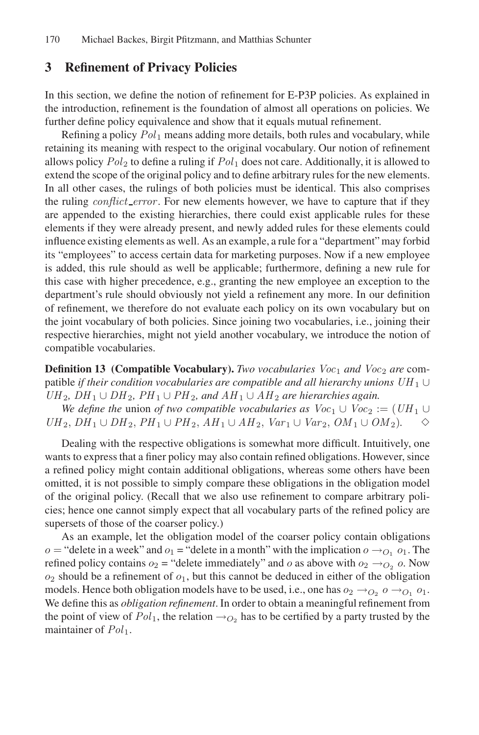## **3 Refinement of Privacy Policies**

In this section, we define the notion of refinement for E-P3P policies. As explained in the introduction, refinement is the foundation of almost all operations on policies. We further define policy equivalence and show that it equals mutual refinement.

Refining a policy  $Pol_1$  means adding more details, both rules and vocabulary, while retaining its meaning with respect to the original vocabulary. Our notion of refinement allows policy  $Pol_2$  to define a ruling if  $Pol_1$  does not care. Additionally, it is allowed to extend the scope of the original policy and to define arbitrary rules for the new elements. In all other cases, the rulings of both policies must be identical. This also comprises the ruling *conflict error* . For new elements however, we have to capture that if they are appended to the existing hierarchies, there could exist applicable rules for these elements if they were already present, and newly added rules for these elements could influence existing elements as well. As an example, a rule for a "department" may forbid its "employees" to access certain data for marketing purposes. Now if a new employee is added, this rule should as well be applicable; furthermore, defining a new rule for this case with higher precedence, e.g., granting the new employee an exception to the department's rule should obviously not yield a refinement any more. In our definition of refinement, we therefore do not evaluate each policy on its own vocabulary but on the joint vocabulary of both policies. Since joining two vocabularies, i.e., joining their respective hierarchies, might not yield another vocabulary, we introduce the notion of compatible vocabularies.

**Definition 13 (Compatible Vocabulary).** *Two vocabularies Voc*<sub>1</sub> *and Voc*<sub>2</sub> *are* compatible *if their condition vocabularies are compatible and all hierarchy unions*  $UH_1 \cup$ *UH*<sub>2</sub>*, DH*<sub>1</sub>∪ *DH*<sub>2</sub>*, PH*<sub>1</sub>∪ *PH*<sub>2</sub>*,* and *AH*<sub>1</sub>∪ *AH*<sub>2</sub> are hierarchies again.

*We define the union of two compatible vocabularies as*  $Voc_1 \cup Voc_2 := (UH_1 \cup$ *UH*<sub>2</sub>, *DH*<sub>1</sub>∪ *DH*<sub>2</sub>, *PH*<sub>1</sub>∪ *PH*<sub>2</sub>, *AH*<sub>1</sub>∪ *AH*<sub>2</sub>, *Var*<sub>1</sub>∪ *Var*<sub>2</sub>, *OM*<sub>1</sub>∪ *OM*<sub>2</sub>).

Dealing with the respective obligations is somewhat more difficult. Intuitively, one wants to express that a finer policy may also contain refined obligations. However, since a refined policy might contain additional obligations, whereas some others have been omitted, it is not possible to simply compare these obligations in the obligation model of the original policy. (Recall that we also use refinement to compare arbitrary policies; hence one cannot simply expect that all vocabulary parts of the refined policy are supersets of those of the coarser policy.)

As an example, let the obligation model of the coarser policy contain obligations o = "delete in a week" and  $o_1$  = "delete in a month" with the implication  $o \rightarrow o_1$   $o_1$ . The refined policy contains  $o_2$  = "delete immediately" and o as above with  $o_2 \rightarrow o_2$  o. Now  $o_2$  should be a refinement of  $o_1$ , but this cannot be deduced in either of the obligation models. Hence both obligation models have to be used, i.e., one has  $o_2 \rightarrow o_2 o_1 o_1$ . We define this as *obligation refinement*. In order to obtain a meaningful refinement from the point of view of  $Pol_1$ , the relation  $\rightarrow_{O_2}$  has to be certified by a party trusted by the maintainer of  $Pol_1$ .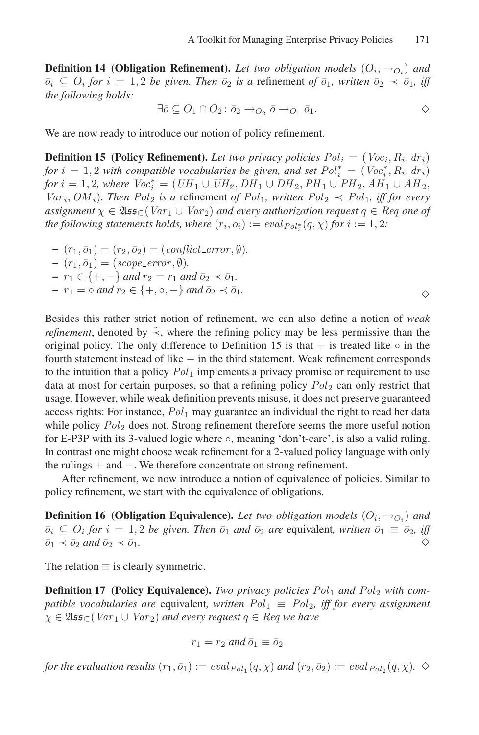**Definition 14 (Obligation Refinement).** Let two obligation models  $(O_i, \rightarrow O_i)$  and  $\overline{o}_i \subseteq O_i$  *for*  $i = 1, 2$  *be given. Then*  $\overline{o}_2$  *is a* refinement *of*  $\overline{o}_1$ *, written*  $\overline{o}_2 \prec \overline{o}_1$ *, iff the following holds:*

$$
\exists \bar{o} \subseteq O_1 \cap O_2 \colon \bar{o}_2 \to_{O_2} \bar{o} \to_{O_1} \bar{o}_1.
$$

We are now ready to introduce our notion of policy refinement.

**Definition 15 (Policy Refinement).** Let two privacy policies  $Pol_i = (Voc_i, R_i, dr_i)$ *for*  $i = 1, 2$  *with compatible vocabularies be given, and set*  $Pol_i^* = (Voc_i^*, R_i, dr_i)$ *for*  $i = 1, 2$ *, where*  $\textit{Voc}_i^* = (\textit{UH}_1 ∪ \textit{UH}_2, \textit{DH}_1 ∪ \textit{DH}_2, \textit{PH}_1 ∪ \textit{PH}_2, \textit{AH}_1 ∪ \textit{AH}_2,$ *Var*<sub>i</sub>, *OM*<sub>i</sub>)*. Then*  $Pol_2$  *is a* refinement *of*  $Pol_1$ *, written*  $Pol_2 \prec Pol_1$ *, iff for every*  $a$ *assignment*  $\chi \in \mathfrak{Ass}_{\mathbb{C}}(Var_1 \cup Var_2)$  *and every authorization request*  $q \in Reg$  *one of the following statements holds, where*  $(r_i, \bar{o}_i) := eval_{Pol_i^*}(q, \chi)$  *for*  $i := 1, 2$ *:* 

$$
-(r_1, \bar{o}_1) = (r_2, \bar{o}_2) = (conflict_error, \emptyset).
$$
  
\n
$$
-(r_1, \bar{o}_1) = (scope_error, \emptyset).
$$
  
\n
$$
- r_1 \in \{+, -\} \text{ and } r_2 = r_1 \text{ and } \bar{o}_2 \prec \bar{o}_1.
$$
  
\n
$$
- r_1 = \circ \text{ and } r_2 \in \{+, \circ, -\} \text{ and } \bar{o}_2 \prec \bar{o}_1.
$$

Besides this rather strict notion of refinement, we can also define a notion of *weak refinement*, denoted by  $\tilde{\prec}$ , where the refining policy may be less permissive than the original policy. The only difference to Definition 15 is that  $+$  is treated like  $\circ$  in the fourth statement instead of like − in the third statement. Weak refinement corresponds to the intuition that a policy  $Pol_1$  implements a privacy promise or requirement to use data at most for certain purposes, so that a refining policy  $Pol_2$  can only restrict that usage. However, while weak definition prevents misuse, it does not preserve guaranteed access rights: For instance,  $Pol_1$  may guarantee an individual the right to read her data while policy  $Pol_2$  does not. Strong refinement therefore seems the more useful notion for E-P3P with its 3-valued logic where ◦, meaning 'don't-care', is also a valid ruling. In contrast one might choose weak refinement for a 2-valued policy language with only the rulings + and −. We therefore concentrate on strong refinement.

After refinement, we now introduce a notion of equivalence of policies. Similar to policy refinement, we start with the equivalence of obligations.

**Definition 16 (Obligation Equivalence).** *Let two obligation models*  $(O_i, \rightarrow O_i)$  *and*  $\overline{o}_i \subseteq O_i$  *for*  $i = 1, 2$  *be given. Then*  $\overline{o}_1$  *and*  $\overline{o}_2$  *are* equivalent, written  $\overline{o}_1 \equiv \overline{o}_2$ , *iff*  $\bar{o}_1 \prec \bar{o}_2$  and  $\bar{o}_2 \prec \bar{o}_1$ .  $\diamondsuit$ 

The relation  $\equiv$  is clearly symmetric.

**Definition 17 (Policy Equivalence).** *Two privacy policies Pol<sub>1</sub> and Pol<sub>2</sub> with compatible vocabularies are equivalent, written*  $Pol_1 \equiv Pol_2$ *, iff for every assignment*  $\chi \in \mathfrak{Ass}_{\mathbb{C}}(\textit{Var}_1 \cup \textit{Var}_2)$  *and every request*  $q \in \textit{Reg we have}$ 

$$
r_1 = r_2 \text{ and } \bar{o}_1 \equiv \bar{o}_2
$$

*for the evaluation results*  $(r_1, \bar{o}_1) := eval_{Pol_1}(q, \chi)$  *and*  $(r_2, \bar{o}_2) := eval_{Pol_2}(q, \chi)$ .  $\diamond$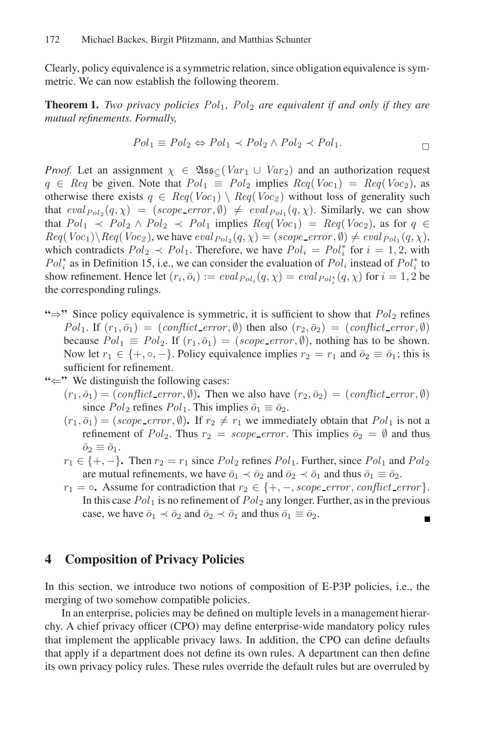Clearly, policy equivalence is a symmetric relation, since obligation equivalence is symmetric. We can now establish the following theorem.

**Theorem 1.** *Two privacy policies*  $Pol_1$ ,  $Pol_2$  *are equivalent if and only if they are mutual refinements. Formally,*

$$
Pol_1 \equiv Pol_2 \Leftrightarrow Pol_1 \prec Pol_2 \wedge Pol_2 \prec Pol_1.
$$

*Proof.* Let an assignment  $\chi \in \mathfrak{Ass}_{\mathbb{C}}(Var_1 \cup Var_2)$  and an authorization request  $q \in Reg$  be given. Note that  $Pol_1 \equiv Pol_2$  implies  $Reg(Voc_1) = Reg(Voc_2)$ , as otherwise there exists  $q \in \text{Reg}(Voc_1) \setminus \text{Reg}(Voc_2)$  without loss of generality such that  $eval_{Pol_2}(q, \chi) = (scope\_error, \emptyset) \neq eval_{Pol_1}(q, \chi)$ . Similarly, we can show that  $Pol_1 \prec Pol_2 \land Pol_2 \prec Pol_1$  implies  $Reg(Voc_1) = Reg(Voc_2)$ , as for  $q \in$  $Reg(Voc_1) \setminus Reg(Voc_2)$ , we have  $eval_{Pol_2}(q, \chi) = (scope\_error, \emptyset) \neq eval_{Pol_1}(q, \chi)$ , which contradicts  $Pol_2 \prec Pol_1$ . Therefore, we have  $Pol_i = Pol_i^*$  for  $i = 1, 2$ , with  $Pol_i^*$  as in Definition 15, i.e., we can consider the evaluation of  $Pol_i$  instead of  $Pol_i^*$  to show refinement. Hence let  $(r_i, \bar{o}_i) := eval_{Pol_i}(q, \chi) = eval_{Pol_i^*}(q, \chi)$  for  $i = 1, 2$  be the corresponding rulings.

 $\rightarrow$ " Since policy equivalence is symmetric, it is sufficient to show that  $Pol_2$  refines *Pol*<sub>1</sub>. If  $(r_1, \bar{o}_1) = (conflict_error, \emptyset)$  then also  $(r_2, \bar{o}_2) = (conflict_error, \emptyset)$ because  $Pol_1 \equiv Pol_2$ . If  $(r_1, \bar{o}_1) = (scope\_error, \emptyset)$ , nothing has to be shown. Now let  $r_1 \in \{+, \circ, -\}$ . Policy equivalence implies  $r_2 = r_1$  and  $\bar{o}_2 \equiv \bar{o}_1$ ; this is sufficient for refinement.

**"**⇐**"** We distinguish the following cases:

- $(r_1, \bar{o}_1)=(\text{conflict\_error}, \emptyset)$ . Then we also have  $(r_2, \bar{o}_2)=(\text{conflict\_error}, \emptyset)$ since  $Pol_2$  refines  $Pol_1$ . This implies  $\bar{o}_1 \equiv \bar{o}_2$ .
- $(r_1, \bar{o}_1)=(\textit{scope\_error}, \emptyset)$ . If  $r_2 \neq r_1$  we immediately obtain that  $\textit{Pol}_1$  is not a refinement of  $Pol_2$ . Thus  $r_2 = scope_error$ . This implies  $\bar{o}_2 = \emptyset$  and thus  $\bar{o}_2 \equiv \bar{o}_1.$
- $r_1 \in \{+, -\}$ . Then  $r_2 = r_1$  since  $Pol_2$  refines  $Pol_1$ . Further, since  $Pol_1$  and  $Pol_2$ are mutual refinements, we have  $\bar{o}_1 \prec \bar{o}_2$  and  $\bar{o}_2 \prec \bar{o}_1$  and thus  $\bar{o}_1 \equiv \bar{o}_2$ .
- $r_1 = \circ$ . Assume for contradiction that  $r_2 \in \{+, -\text{, scope\_error}, \text{conflict\_error}\}.$ In this case  $Pol_1$  is no refinement of  $Pol_2$  any longer. Further, as in the previous case, we have  $\bar{o}_1 \prec \bar{o}_2$  and  $\bar{o}_2 \prec \bar{o}_1$  and thus  $\bar{o}_1 \equiv \bar{o}_2$ .

### **4 Composition of Privacy Policies**

In this section, we introduce two notions of composition of E-P3P policies, i.e., the merging of two somehow compatible policies.

In an enterprise, policies may be defined on multiple levels in a management hierarchy. A chief privacy officer (CPO) may define enterprise-wide mandatory policy rules that implement the applicable privacy laws. In addition, the CPO can define defaults that apply if a department does not define its own rules. A department can then define its own privacy policy rules. These rules override the default rules but are overruled by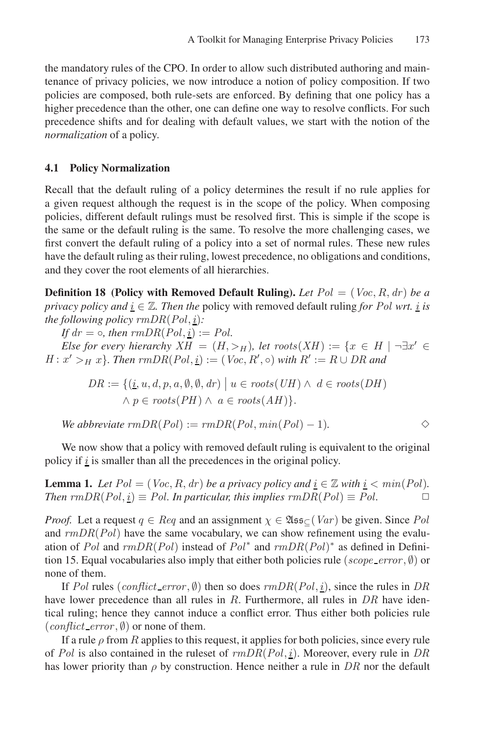the mandatory rules of the CPO. In order to allow such distributed authoring and maintenance of privacy policies, we now introduce a notion of policy composition. If two policies are composed, both rule-sets are enforced. By defining that one policy has a higher precedence than the other, one can define one way to resolve conflicts. For such precedence shifts and for dealing with default values, we start with the notion of the *normalization* of a policy.

#### **4.1 Policy Normalization**

Recall that the default ruling of a policy determines the result if no rule applies for a given request although the request is in the scope of the policy. When composing policies, different default rulings must be resolved first. This is simple if the scope is the same or the default ruling is the same. To resolve the more challenging cases, we first convert the default ruling of a policy into a set of normal rules. These new rules have the default ruling as their ruling, lowest precedence, no obligations and conditions, and they cover the root elements of all hierarchies.

**Definition 18 (Policy with Removed Default Ruling).** *Let Pol* = (*Voc*, R, *dr* ) *be a privacy policy and*  $\underline{i} \in \mathbb{Z}$ *. Then the* policy with removed default ruling *for Pol wrt.*  $\underline{i}$  *is the following policy rmDR*(*Pol*, i)*:*

*If*  $dr = \circ$ *, then*  $rmDR(Pol, i) := Pol$ *.* 

*Else for every hierarchy*  $XH = (H, >_H)$ , let  $roots(XH) := \{x \in H \mid \neg \exists x' \in$  $H: x' > H(x)$ *. Then*  $rmDR(Pol, i) := (Voc, R', \circ)$  with  $R' := R \cup DR$  and

$$
DR := \{ (\underline{i}, u, d, p, a, \emptyset, \emptyset, dr) \mid u \in roots(UH) \land d \in roots(DH) \land p \in roots(PH) \land a \in roots(AH) \}.
$$

 $We abbreviate rmDR(Pol) := rmDR(Pol, min(Pol) - 1).$   $\Diamond$ 

We now show that a policy with removed default ruling is equivalent to the original policy if  $i$  is smaller than all the precedences in the original policy.

**Lemma 1.** Let  $Pol = (Voc, R, dr)$  be a privacy policy and  $\underline{i} \in \mathbb{Z}$  with  $\underline{i} < min(Pol)$ . *Then*  $rmDR(Pol, i) \equiv Pol$ *. In particular, this implies*  $rmDR(Pol) \equiv Pol$ .  $\Box$ 

*Proof.* Let a request  $q \in \text{Reg}$  and an assignment  $\chi \in \mathfrak{Ass}_{\mathbb{C}}(\text{Var})$  be given. Since Pol and *rmDR*(*Pol*) have the same vocabulary, we can show refinement using the evaluation of *Pol* and *rmDR*(*Pol*) instead of *Pol* <sup>∗</sup> and *rmDR*(*Pol*)<sup>∗</sup> as defined in Definition 15. Equal vocabularies also imply that either both policies rule ( $\text{scope\_error}, \emptyset$ ) or none of them.

If *Pol* rules (*conflict\_error*,  $\emptyset$ ) then so does  $rmDR(Pol, i)$ , since the rules in *DR* have lower precedence than all rules in R. Furthermore, all rules in *DR* have identical ruling; hence they cannot induce a conflict error. Thus either both policies rule  $(conflict_error, \emptyset)$  or none of them.

If a rule  $\rho$  from R applies to this request, it applies for both policies, since every rule of *Pol* is also contained in the ruleset of *rmDR*(*Pol*, i). Moreover, every rule in *DR* has lower priority than  $\rho$  by construction. Hence neither a rule in DR nor the default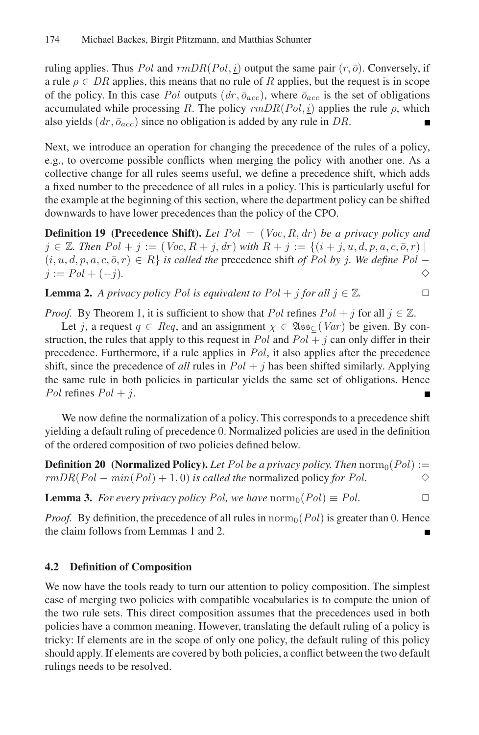ruling applies. Thus *Pol* and  $rmDR(Pol, i)$  output the same pair  $(r, \bar{o})$ . Conversely, if a rule  $\rho \in DR$  applies, this means that no rule of R applies, but the request is in scope of the policy. In this case *Pol* outputs  $(dr, \bar{o}_{acc})$ , where  $\bar{o}_{acc}$  is the set of obligations accumulated while processing R. The policy  $rmDR(Pol, i)$  applies the rule  $\rho$ , which also yields  $(dr, \bar{o}_{acc})$  since no obligation is added by any rule in *DR*.

Next, we introduce an operation for changing the precedence of the rules of a policy, e.g., to overcome possible conflicts when merging the policy with another one. As a collective change for all rules seems useful, we define a precedence shift, which adds a fixed number to the precedence of all rules in a policy. This is particularly useful for the example at the beginning of this section, where the department policy can be shifted downwards to have lower precedences than the policy of the CPO.

**Definition 19 (Precedence Shift).** *Let Pol* = (*Voc*, R, *dr* ) *be a privacy policy and j* ∈ ℤ. Then  $Pol + j := (Voc, R + j, dr)$  with  $R + j := \{(i + j, u, d, p, a, c, \overline{o}, r) \mid$  $(i, u, d, p, a, c, \overline{o}, r) \in R$  *is called the* precedence shift *of Pol by j.* We define Pol −  $j := Pol + (-j).$ 

**Lemma 2.** *A privacy policy Pol is equivalent to*  $Pol + j$  *for all*  $j \in \mathbb{Z}$ .

*Proof.* By Theorem 1, it is sufficient to show that *Pol* refines  $Pol + j$  for all  $j \in \mathbb{Z}$ .

Let j, a request  $q \in \text{Req}$ , and an assignment  $\chi \in \mathfrak{Ass}_{\mathbb{C}}(\text{Var})$  be given. By construction, the rules that apply to this request in  $Pol$  and  $Pol + j$  can only differ in their precedence. Furthermore, if a rule applies in *Pol*, it also applies after the precedence shift, since the precedence of *all* rules in  $Pol + j$  has been shifted similarly. Applying the same rule in both policies in particular yields the same set of obligations. Hence *Pol* refines  $Pol + j$ .

We now define the normalization of a policy. This corresponds to a precedence shift yielding a default ruling of precedence 0. Normalized policies are used in the definition of the ordered composition of two policies defined below.

**Definition 20** (Normalized Policy). Let Pol be a privacy policy. Then  $\text{norm}_0(Pol) :=$  $rmDR(Pol - min(Pol) + 1, 0)$  *is called the* normalized policy *for Pol.*  $\diamond$ 

**Lemma 3.** *For every privacy policy Pol, we have*  $\text{norm}_0(Pol) \equiv Pol$ .

*Proof.* By definition, the precedence of all rules in  $\text{norm}_0(Pol)$  is greater than 0. Hence the claim follows from Lemmas 1 and 2.

### **4.2 Definition of Composition**

We now have the tools ready to turn our attention to policy composition. The simplest case of merging two policies with compatible vocabularies is to compute the union of the two rule sets. This direct composition assumes that the precedences used in both policies have a common meaning. However, translating the default ruling of a policy is tricky: If elements are in the scope of only one policy, the default ruling of this policy should apply. If elements are covered by both policies, a conflict between the two default rulings needs to be resolved.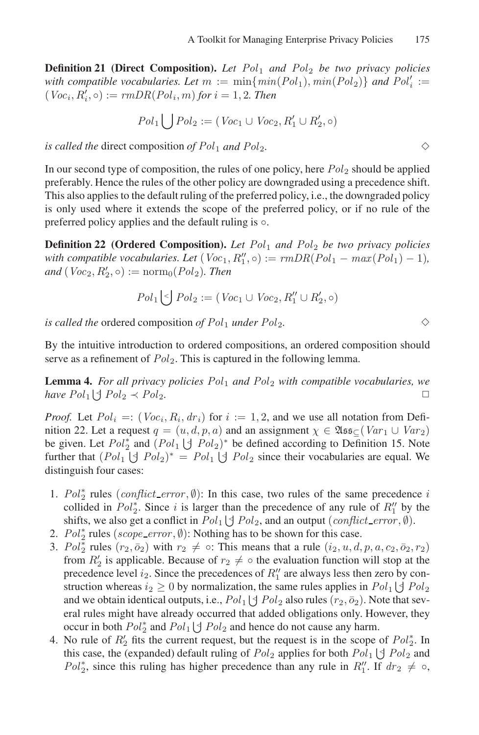**Definition 21 (Direct Composition).** Let Pol<sub>1</sub> and Pol<sub>2</sub> be two privacy policies *with compatible vocabularies. Let*  $m := min\{min(Pol_1), min(Pol_2)\}$  *and*  $Pol'_i :=$  $(Voc_i, R_i^j, \circ) := \text{rm}DR(Pol_i, m)$  *for*  $i = 1, 2$ *. Then* 

$$
Pol_1 \bigcup Pol_2 := (\mathit{Voc}_1 \cup \mathit{Voc}_2, R'_1 \cup R'_2, \circ)
$$

*is called the* direct composition *of*  $Pol_1$  *and*  $Pol_2$ .

In our second type of composition, the rules of one policy, here  $Pol_2$  should be applied preferably. Hence the rules of the other policy are downgraded using a precedence shift. This also applies to the default ruling of the preferred policy, i.e., the downgraded policy is only used where it extends the scope of the preferred policy, or if no rule of the preferred policy applies and the default ruling is ◦.

**Definition 22 (Ordered Composition).** Let Pol<sub>1</sub> and Pol<sub>2</sub> be two privacy policies  $\mathcal{L}_{\text{with}}$  *compatible vocabularies.* Let  $(\mathit{Voc}_1, R''_1, \circ) := \mathit{rmDR}(\mathit{Pol}_1 - \mathit{max}(\mathit{Pol}_1) - 1)$ *,*  $and (Voc_2, R'_2, \circ) := norm_0(Pol_2)$ *. Then* 

$$
Pol_1 \subseteq Pol_2 := (Voc_1 \cup Voc_2, R_1'' \cup R_2', \circ)
$$

*is called the* ordered composition *of*  $Pol_1$  *under*  $Pol_2$ .  $\diamondsuit$ 

By the intuitive introduction to ordered compositions, an ordered composition should serve as a refinement of  $Pol_2$ . This is captured in the following lemma.

**Lemma 4.** For all privacy policies  $Pol_1$  and  $Pol_2$  with compatible vocabularies, we *have*  $Pol_1 \cup Pol_2 \prec Pol_2$ .

*Proof.* Let  $Pol_i$  =: ( $Voc_i, R_i, dr_i$ ) for  $i := 1, 2$ , and we use all notation from Definition 22. Let a request  $q = (u, d, p, a)$  and an assignment  $\chi \in \mathfrak{Ass}_{\mathbb{C}}(Var_1 \cup Var_2)$ be given. Let  $Pol_2^*$  and  $(Pol_1 \cup Pol_2)^*$  be defined according to Definition 15. Note further that  $(Pol_1 \cup Pol_2)^* = Pol_1 \cup Pol_2$  since their vocabularies are equal. We distinguish four cases:

- 1.  $Pol_2^*$  rules (*conflict\_error*,  $\emptyset$ ): In this case, two rules of the same precedence i collided in  $Pol_2^*$ . Since i is larger than the precedence of any rule of  $R_1''$  by the shifts, we also get a conflict in  $Pol_1 \bigcup Pol_2$ , and an output  $(conflict_error, \emptyset)$ .
- 2.  $Pol_2^*$  rules (*scope\_error*,  $\emptyset$ ): Nothing has to be shown for this case.
- 3.  $Pol_2^*$  rules  $(r_2, \bar{o}_2)$  with  $r_2 \neq o$ : This means that a rule  $(i_2, u, d, p, a, c_2, \bar{o}_2, r_2)$ from  $R'_2$  is applicable. Because of  $r_2 \neq \circ$  the evaluation function will stop at the precedence level  $i_2$ . Since the precedences of  $R_1''$  are always less then zero by construction whereas  $i_2 \geq 0$  by normalization, the same rules applies in  $Pol_1 \cup Pol_2$ and we obtain identical outputs, i.e.,  $Pol_1 \bigcup Pol_2$  also rules  $(r_2, \bar{o}_2)$ . Note that several rules might have already occurred that added obligations only. However, they occur in both  $Pol_2^*$  and  $Pol_1 \cup Pol_2$  and hence do not cause any harm.
- 4. No rule of  $R'_2$  fits the current request, but the request is in the scope of  $Pol_2^*$ . In this case, the (expanded) default ruling of  $Pol_2$  applies for both  $Pol_1 \cup Pol_2$  and  $Pol_2^*$ , since this ruling has higher precedence than any rule in  $R_1''$ . If  $dr_2 \neq \infty$ ,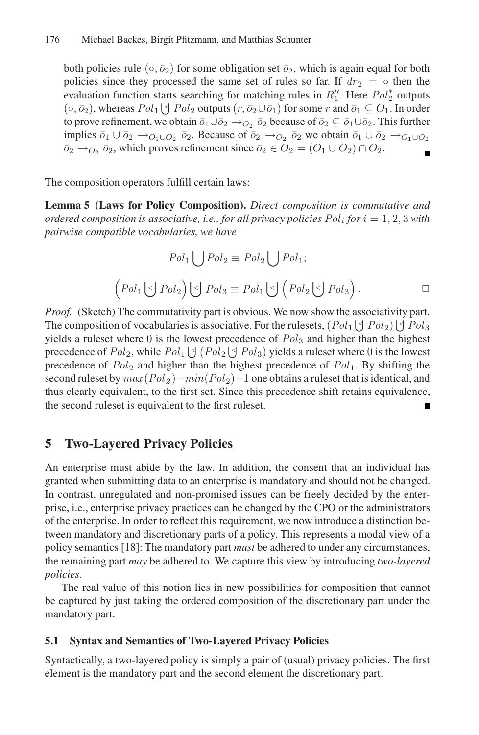both policies rule ( $\circ$ ,  $\bar{\sigma}_2$ ) for some obligation set  $\bar{\sigma}_2$ , which is again equal for both policies since they processed the same set of rules so far. If  $dr_2 = \circ$  then the evaluation function starts searching for matching rules in  $R_1''$ . Here  $Pol_2^*$  outputs  $(\circ, \bar{o}_2)$ , whereas  $Pol_1 \cup Pol_2$  outputs  $(r, \bar{o}_2 \cup \bar{o}_1)$  for some r and  $\bar{o}_1 \subseteq O_1$ . In order to prove refinement, we obtain  $\bar{o}_1 \cup \bar{o}_2 \to o_2 \bar{o}_2$  because of  $\bar{o}_2 \subseteq \bar{o}_1 \cup \bar{o}_2$ . This further implies  $\bar{o}_1 \cup \bar{o}_2 \rightarrow_{O_1 \cup O_2} \bar{o}_2$ . Because of  $\bar{o}_2 \rightarrow_{O_2} \bar{o}_2$  we obtain  $\bar{o}_1 \cup \bar{o}_2 \rightarrow_{O_1 \cup O_2}$  $\overline{\overline{O}}_2 \rightarrow_{O_2} \overline{\overline{O}}_2$ , which proves refinement since  $\overline{\overline{O}}_2 \in O_2 = (O_1 \cup O_2) \cap O_2$ .

The composition operators fulfill certain laws:

**Lemma 5 (Laws for Policy Composition).** *Direct composition is commutative and ordered composition is associative, i.e., for all privacy policies*  $Pol<sub>i</sub>$  *for*  $i = 1, 2, 3$  *with pairwise compatible vocabularies, we have*

$$
Pol_1 \bigcup Pol_2 \equiv Pol_2 \bigcup Pol_1;
$$
  

$$
\left( Pol_1 \bigcup Pol_2 \right) \bigcup Pol_3 \equiv Pol_1 \bigcup \left( Pol_2 \bigcup Pol_3 \right).
$$

*Proof.* (Sketch) The commutativity part is obvious. We now show the associativity part. The composition of vocabularies is associative. For the rulesets,  $(Pol_1 \cup Pol_2) \cup Pol_3$ yields a ruleset where  $0$  is the lowest precedence of  $Pol_3$  and higher than the highest precedence of  $Pol_2$ , while  $Pol_1 \cup (Pol_2 \cup Pol_3)$  yields a ruleset where 0 is the lowest precedence of  $Pol_2$  and higher than the highest precedence of  $Pol_1$ . By shifting the second ruleset by *max* (*Pol <sup>2</sup>* )−*min*(*Pol* <sup>2</sup>)+1 one obtains a ruleset that is identical, and thus clearly equivalent, to the first set. Since this precedence shift retains equivalence, the second ruleset is equivalent to the first ruleset.

## **5 Two-Layered Privacy Policies**

An enterprise must abide by the law. In addition, the consent that an individual has granted when submitting data to an enterprise is mandatory and should not be changed. In contrast, unregulated and non-promised issues can be freely decided by the enterprise, i.e., enterprise privacy practices can be changed by the CPO or the administrators of the enterprise. In order to reflect this requirement, we now introduce a distinction between mandatory and discretionary parts of a policy. This represents a modal view of a policy semantics [18]: The mandatory part *must* be adhered to under any circumstances, the remaining part *may* be adhered to. We capture this view by introducing *two-layered policies*.

The real value of this notion lies in new possibilities for composition that cannot be captured by just taking the ordered composition of the discretionary part under the mandatory part.

#### **5.1 Syntax and Semantics of Two-Layered Privacy Policies**

Syntactically, a two-layered policy is simply a pair of (usual) privacy policies. The first element is the mandatory part and the second element the discretionary part.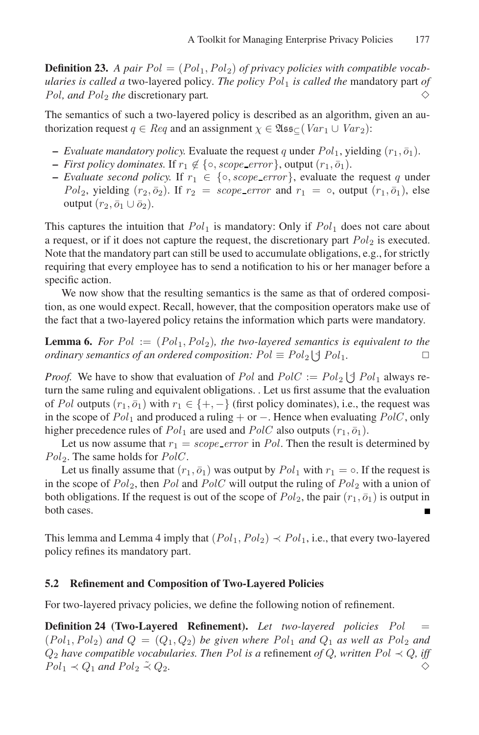**Definition 23.** A pair  $Pol = (Pol_1, Pol_2)$  of privacy policies with compatible vocab*ularies is called a* two-layered policy*. The policy Pol* <sup>1</sup> *is called the* mandatory part *of Pol, and Pol<sub>2</sub> the* discretionary part.  $\Diamond$ 

The semantics of such a two-layered policy is described as an algorithm, given an authorization request  $q \in \text{Reg}$  and an assignment  $\chi \in \mathfrak{Ass}_{\mathbb{C}}(\text{Var}_1 \cup \text{Var}_2)$ :

- *Evaluate mandatory policy.* Evaluate the request q under  $Pol_1$ , yielding  $(r_1, \bar{o}_1)$ .
- **−** *First policy dominates.* If  $r_1 \notin \{\circ, \text{scope\_error}\}$ , output  $(r_1, \bar{o}_1)$ .
- **−** *Evaluate second policy.* If  $r_1 \text{ ∈ } \{ \circ, \text{scope\_error} \}$ , evaluate the request q under *Pol*<sub>2</sub>, yielding  $(r_2, \bar{o}_2)$ . If  $r_2 = scope_error$  and  $r_1 = \circ$ , output  $(r_1, \bar{o}_1)$ , else output  $(r_2, \bar{o}_1 \cup \bar{o}_2)$ .

This captures the intuition that  $Pol_1$  is mandatory: Only if  $Pol_1$  does not care about a request, or if it does not capture the request, the discretionary part  $Pol_2$  is executed. Note that the mandatory part can still be used to accumulate obligations, e.g., for strictly requiring that every employee has to send a notification to his or her manager before a specific action.

We now show that the resulting semantics is the same as that of ordered composition, as one would expect. Recall, however, that the composition operators make use of the fact that a two-layered policy retains the information which parts were mandatory.

**Lemma 6.** For  $Pol := (Pol_1, Pol_2)$ , the two-layered semantics is equivalent to the *ordinary semantics of an ordered composition:*  $Pol \equiv Pol_2 \cup Pol_1$ .

*Proof.* We have to show that evaluation of *Pol* and  $PolC := Pol_2 \cup Pol_1$  always return the same ruling and equivalent obligations. . Let us first assume that the evaluation of *Pol* outputs  $(r_1, \bar{o}_1)$  with  $r_1 \in \{+, -\}$  (first policy dominates), i.e., the request was in the scope of  $Pol_1$  and produced a ruling + or −. Hence when evaluating  $PolC$ , only higher precedence rules of  $Pol_1$  are used and  $PolC$  also outputs  $(r_1, \bar{o}_1)$ .

Let us now assume that  $r_1 = scope_error$  in *Pol*. Then the result is determined by *Pol* <sup>2</sup>. The same holds for *PolC* .

Let us finally assume that  $(r_1, \bar{o}_1)$  was output by  $Pol_1$  with  $r_1 = \circ$ . If the request is in the scope of  $Pol_2$ , then  $Pol$  and  $PolC$  will output the ruling of  $Pol_2$  with a union of both obligations. If the request is out of the scope of  $Pol_2$ , the pair  $(r_1, \bar{o}_1)$  is output in both cases.

This lemma and Lemma 4 imply that  $(Pol_1, Pol_2) \prec Pol_1$ , i.e., that every two-layered policy refines its mandatory part.

#### **5.2 Refinement and Composition of Two-Layered Policies**

For two-layered privacy policies, we define the following notion of refinement.

**Definition 24 (Two-Layered Refinement).** Let two-layered policies Pol  $(Pol_1, Pol_2)$  *and*  $Q = (Q_1, Q_2)$  *be given where*  $Pol_1$  *and*  $Q_1$  *as well as*  $Pol_2$  *and*  $Q_2$  *have compatible vocabularies. Then Pol is a refinement of Q, written Pol*  $\prec Q$ , *iff*  $Pol_1 \prec Q_1$  and  $Pol_2 \prec Q_2$ .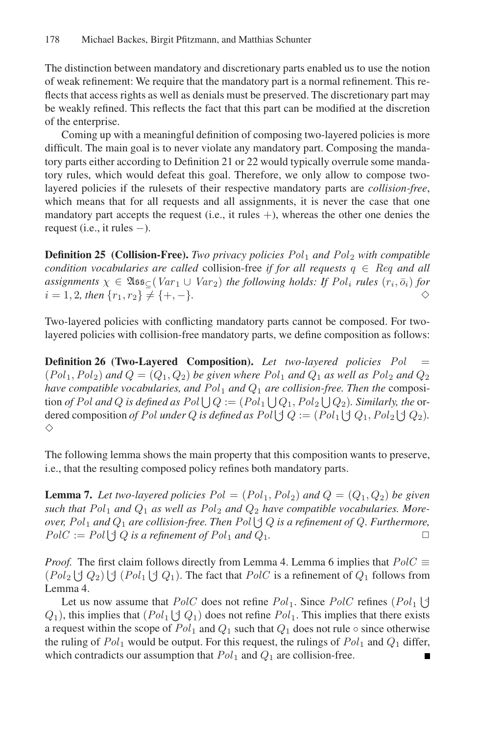The distinction between mandatory and discretionary parts enabled us to use the notion of weak refinement: We require that the mandatory part is a normal refinement. This reflects that access rights as well as denials must be preserved. The discretionary part may be weakly refined. This reflects the fact that this part can be modified at the discretion of the enterprise.

Coming up with a meaningful definition of composing two-layered policies is more difficult. The main goal is to never violate any mandatory part. Composing the mandatory parts either according to Definition 21 or 22 would typically overrule some mandatory rules, which would defeat this goal. Therefore, we only allow to compose twolayered policies if the rulesets of their respective mandatory parts are *collision-free*, which means that for all requests and all assignments, it is never the case that one mandatory part accepts the request (i.e., it rules  $+)$ , whereas the other one denies the request (i.e., it rules  $-$ ).

**Definition 25 (Collision-Free).** *Two privacy policies*  $Pol_1$  *and*  $Pol_2$  *with compatible condition vocabularies are called* collision-free *if for all requests*  $q \in \text{Reg}$  *and all assignments*  $\chi \in \mathfrak{Ass}_{\subseteq}(\text{Var}_1 \cup \text{Var}_2)$  *the following holds: If*  $Pol_i$  *rules*  $(r_i, \bar{o}_i)$  *for*  $i = 1, 2$  *then*  $\{r_1, r_2\} \neq \{+-\}$  $i = 1, 2, then \{r_1, r_2\} \neq \{+, -\}.$ 

Two-layered policies with conflicting mandatory parts cannot be composed. For twolayered policies with collision-free mandatory parts, we define composition as follows:

**Definition 26 (Two-Layered Composition).** Let two-layered policies Pol  $(Pol_1, Pol_2)$  *and*  $Q = (Q_1, Q_2)$  *be given where*  $Pol_1$  *and*  $Q_1$  *as well as*  $Pol_2$  *and*  $Q_2$ *have compatible vocabularies, and*  $Pol_1$  *and*  $Q_1$  *are collision-free. Then the composi*tion *of Pol and Q is defined as Pol*  $\bigcup Q := (Pol_1 \bigcup Q_1, Pol_2 \bigcup Q_2)$ *. Similarly, the* ordered composition *of Pol under Q is defined as Pol*  $\bigcup Q := (Pol_1 \bigcup Q_1, Pol_2 \bigcup Q_2)$ *.*  $\Diamond$ 

The following lemma shows the main property that this composition wants to preserve, i.e., that the resulting composed policy refines both mandatory parts.

**Lemma 7.** Let two-layered policies  $Pol = (Pol_1, Pol_2)$  and  $Q = (Q_1, Q_2)$  be given such that  $Pol_1$  and  $Q_1$  as well as  $Pol_2$  and  $Q_2$  have compatible vocabularies. More*over,*  $Pol_1$  *and*  $Q_1$  *are collision-free. Then*  $Pol \bigcup Q$  *is a refinement of*  $Q$ *. Furthermore,*  $PolC := Pol \cup Q$  *is a refinement of*  $Pol_1$  *and*  $Q_1$ *.* 

*Proof.* The first claim follows directly from Lemma 4. Lemma 6 implies that  $PolC \equiv$  $(Pol_2 \cup Q_2) \cup (Pol_1 \cup Q_1)$ . The fact that *PolC* is a refinement of  $Q_1$  follows from Lemma 4.

Let us now assume that *PolC* does not refine  $Pol_1$ . Since  $PolC$  refines  $(Pol_1 \bigcup$  $Q_1$ ), this implies that  $(Pol_1 \cup Q_1)$  does not refine  $Pol_1$ . This implies that there exists a request within the scope of  $Pol_1$  and  $Q_1$  such that  $Q_1$  does not rule  $\circ$  since otherwise the ruling of  $Pol_1$  would be output. For this request, the rulings of  $Pol_1$  and  $Q_1$  differ, which contradicts our assumption that  $Pol_1$  and  $Q_1$  are collision-free.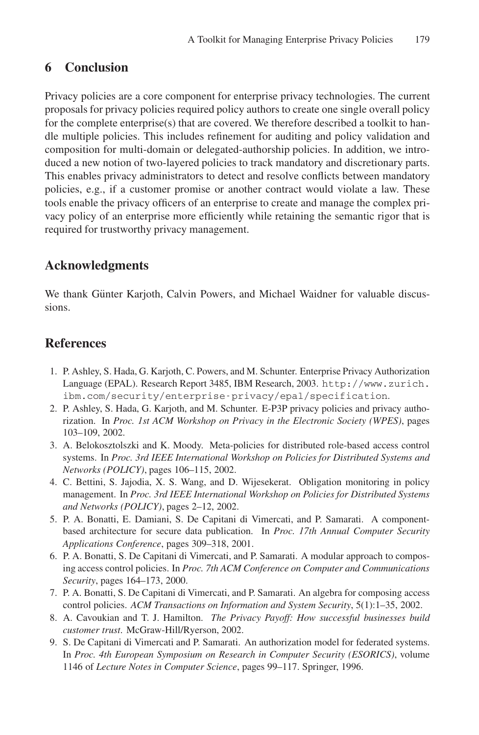# **6 Conclusion**

Privacy policies are a core component for enterprise privacy technologies. The current proposals for privacy policies required policy authors to create one single overall policy for the complete enterprise(s) that are covered. We therefore described a toolkit to handle multiple policies. This includes refinement for auditing and policy validation and composition for multi-domain or delegated-authorship policies. In addition, we introduced a new notion of two-layered policies to track mandatory and discretionary parts. This enables privacy administrators to detect and resolve conflicts between mandatory policies, e.g., if a customer promise or another contract would violate a law. These tools enable the privacy officers of an enterprise to create and manage the complex privacy policy of an enterprise more efficiently while retaining the semantic rigor that is required for trustworthy privacy management.

# **Acknowledgments**

We thank Günter Karjoth, Calvin Powers, and Michael Waidner for valuable discussions.

# **References**

- 1. P. Ashley, S. Hada, G. Karjoth, C. Powers, and M. Schunter. Enterprise Privacy Authorization Language (EPAL). Research Report 3485, IBM Research, 2003. http://www.zurich. ibm.com/security/enterprise-privacy/epal/specification.
- 2. P. Ashley, S. Hada, G. Karjoth, and M. Schunter. E-P3P privacy policies and privacy authorization. In *Proc. 1st ACM Workshop on Privacy in the Electronic Society (WPES)*, pages 103–109, 2002.
- 3. A. Belokosztolszki and K. Moody. Meta-policies for distributed role-based access control systems. In *Proc. 3rd IEEE International Workshop on Policies for Distributed Systems and Networks (POLICY)*, pages 106–115, 2002.
- 4. C. Bettini, S. Jajodia, X. S. Wang, and D. Wijesekerat. Obligation monitoring in policy management. In *Proc. 3rd IEEE International Workshop on Policies for Distributed Systems and Networks (POLICY)*, pages 2–12, 2002.
- 5. P. A. Bonatti, E. Damiani, S. De Capitani di Vimercati, and P. Samarati. A componentbased architecture for secure data publication. In *Proc. 17th Annual Computer Security Applications Conference*, pages 309–318, 2001.
- 6. P. A. Bonatti, S. De Capitani di Vimercati, and P. Samarati. A modular approach to composing access control policies. In *Proc. 7th ACM Conference on Computer and Communications Security*, pages 164–173, 2000.
- 7. P. A. Bonatti, S. De Capitani di Vimercati, and P. Samarati. An algebra for composing access control policies. *ACM Transactions on Information and System Security*, 5(1):1–35, 2002.
- 8. A. Cavoukian and T. J. Hamilton. *The Privacy Payoff: How successful businesses build customer trust*. McGraw-Hill/Ryerson, 2002.
- 9. S. De Capitani di Vimercati and P. Samarati. An authorization model for federated systems. In *Proc. 4th European Symposium on Research in Computer Security (ESORICS)*, volume 1146 of *Lecture Notes in Computer Science*, pages 99–117. Springer, 1996.